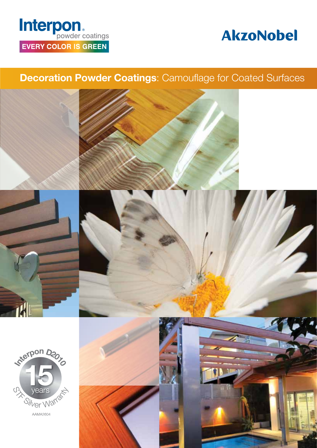# Interpon. EVERY COLOR IS GREEN

## **AkzoNobel**

### **Decoration Powder Coatings: Camouflage for Coated Surfaces**





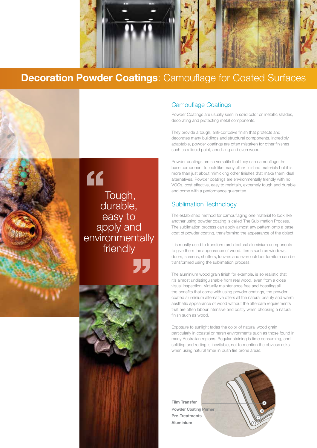

### **Decoration Powder Coatings: Camouflage for Coated Surfaces**

#### Camouflage Coatings

Powder Coatings are usually seen in solid color or metallic shades, decorating and protecting metal components.

They provide a tough, anti-corrosive finish that protects and decorates many buildings and structural components. Incredibly adaptable, powder coatings are often mistaken for other finishes such as a liquid paint, anodizing and even wood.

Powder coatings are so versatile that they can camouflage the base component to look like many other finished materials but it is more than just about mimicking other finishes that make them ideal alternatives. Powder coatings are environmentally friendly with no VOCs, cost effective, easy to maintain, extremely tough and durable and come with a performance guarantee.

#### Sublimation Technology

The established method for camouflaging one material to look like another using powder coating is called The Sublimation Process. The sublimation process can apply almost any pattern onto a base coat of powder coating, transforming the appearance of the object.

It is mostly used to transform architectural aluminium components to give them the appearance of wood. Items such as windows, doors, screens, shutters, louvres and even outdoor furniture can be transformed using the sublimation process.

The aluminium wood grain finish for example, is so realistic that it's almost undistinguishable from real wood, even from a close visual inspection. Virtually maintenance free and boasting all the benefits that come with using powder coatings, the powder coated aluminium alternative offers all the natural beauty and warm aesthetic appearance of wood without the aftercare requirements that are often labour intensive and costly when choosing a natural finish such as wood.

Exposure to sunlight fades the color of natural wood grain particularly in coastal or harsh environments such as those found in many Australian regions. Regular staining is time consuming, and splitting and rotting is inevitable, not to mention the obvious risks when using natural timer in bush fire prone areas.

4 3 2 Aluminium Film Transfer Powder Coating Primer Pre-Treatments 1

" Tough, durable, easy to apply and environmentally friendly



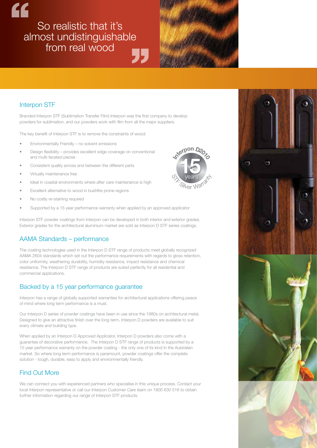## So realistic that it's almost undistinguishable from real wood



### Interpon STF

Branded Interpon STF (Sublimation Transfer Film) Interpon was the first company to develop powders for sublimation, and our powders work with film from all the major suppliers.

The key benefit of Interpon STF is to remove the constraints of wood:

- Environmentally Friendly no solvent emissions
- Design flexibility provides excellent edge coverage on conventional and multi-faceted pieces
- Consistent quality across and between the different parts
- Virtually maintenance free
- Ideal in coastal environments where after care maintenance is high
- Excellent alternative to wood in bushfire prone regions
- No costly re-staining required
- Supported by a 15 year performance warranty when applied by an approved applicator

Interpon STF powder coatings from Interpon can be developed in both interior and exterior grades. Exterior grades for the architectural aluminium market are sold as Interpon D STF series coatings.

#### AAMA Standards – performance

The coating technologies used in the Interpon D STF range of products meet globally recognized AAMA 2604 standards which set out the performance requirements with regards to gloss retention, color uniformity, weathering durability, humidity resistance, impact resistance and chemical resistance. The Interpon D STF range of products are suited perfectly for all residential and commercial applications.

#### Backed by a 15 year performance guarantee

Interpon has a range of globally supported warranties for architectural applications offering peace of mind where long term performance is a must.

Our Interpon D series of powder coatings have been in use since the 1980s on architectural metal. Designed to give an attractive finish over the long term, Interpon D powders are available to suit every climate and building type.

When applied by an Interpon D Approved Applicator, Interpon D powders also come with a guarantee of decorative performance. The Interpon D STF range of products is supported by a 15 year performance warranty on the powder coating - the only one of its kind in the Australian market. So where long term performance is paramount, powder coatings offer the complete solution - tough, durable, easy to apply and environmentally friendly.

#### Find Out More

We can connect you with experienced partners who specialise in this unique process. Contact your local Interpon representative or call our Interpon Customer Care team on 1800 630 516 to obtain further information regarding our range of Interpon STF products.